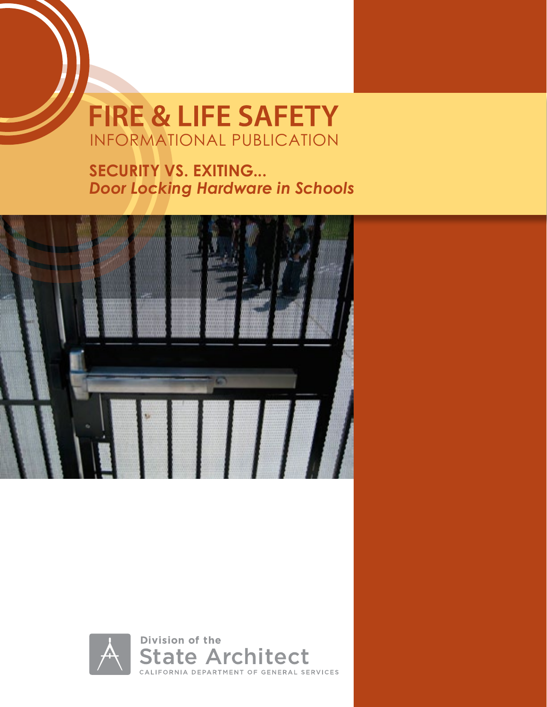# **FIRE & LIFE SAFETY** INFORMATIONAL PUBLICATION

**SECURITY VS. EXITING...**  *Door Locking Hardware in Schools*



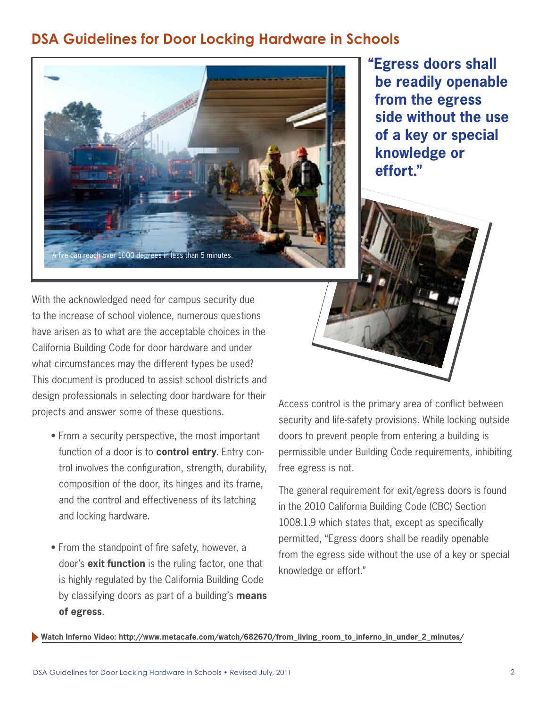# **DSA Guidelines for Door Locking Hardware in Schools**



**"Egress doors shall be readily openable from the egress side without the use of a key or special knowledge or effort."**

With the acknowledged need for campus security due to the increase of school violence, numerous questions have arisen as to what are the acceptable choices in the California Building Code for door hardware and under what circumstances may the different types be used? This document is produced to assist school districts and design professionals in selecting door hardware for their projects and answer some of these questions.

- From a security perspective, the most important function of a door is to **control entry**. Entry control involves the configuration, strength, durability, composition of the door, its hinges and its frame, and the control and effectiveness of its latching and locking hardware.
- From the standpoint of fire safety, however, a door's **exit function** is the ruling factor, one that is highly regulated by the California Building Code by classifying doors as part of a building's **means of egress**.

Access control is the primary area of conflict between security and life-safety provisions. While locking outside doors to prevent people from entering a building is permissible under Building Code requirements, inhibiting free egress is not.

The general requirement for exit/egress doors is found in the 2010 California Building Code (CBC) Section 1008.1.9 which states that, except as specifically permitted, "Egress doors shall be readily openable from the egress side without the use of a key or special knowledge or effort."

**Watch Inferno Video: http://www.metacafe.com/watch/682670/from\_living\_room\_to\_inferno\_in\_under\_2\_minutes/**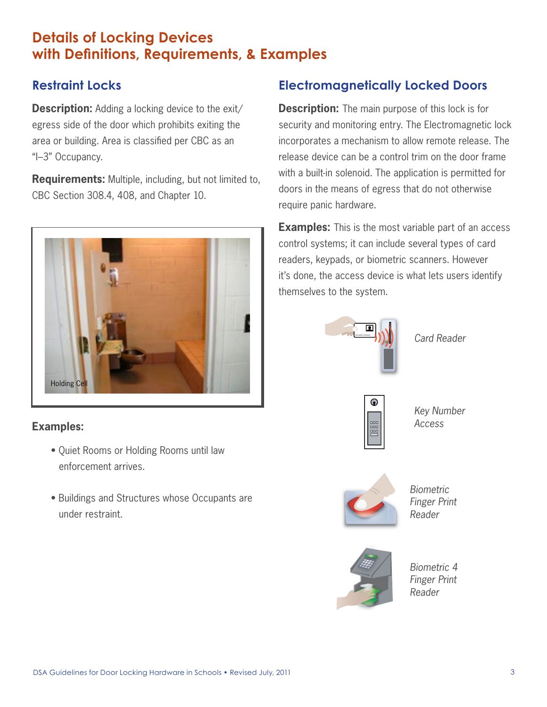# **Details of Locking Devices with Definitions, Requirements, & Examples**

# **Restraint Locks**

**Description:** Adding a locking device to the exit/ egress side of the door which prohibits exiting the area or building. Area is classified per CBC as an "I–3" Occupancy.

**Requirements:** Multiple, including, but not limited to, CBC Section 308.4, 408, and Chapter 10.



## **Examples:**

- Quiet Rooms or Holding Rooms until law enforcement arrives.
- Buildings and Structures whose Occupants are under restraint.

# **Electromagnetically Locked Doors**

**Description:** The main purpose of this lock is for security and monitoring entry. The Electromagnetic lock incorporates a mechanism to allow remote release. The release device can be a control trim on the door frame with a built-in solenoid. The application is permitted for doors in the means of egress that do not otherwise require panic hardware.

**Examples:** This is the most variable part of an access control systems; it can include several types of card readers, keypads, or biometric scanners. However it's done, the access device is what lets users identify themselves to the system.



*Card Reader*



*Key Number Access*



*Biometric Finger Print Reader*



*Biometric 4 Finger Print Reader*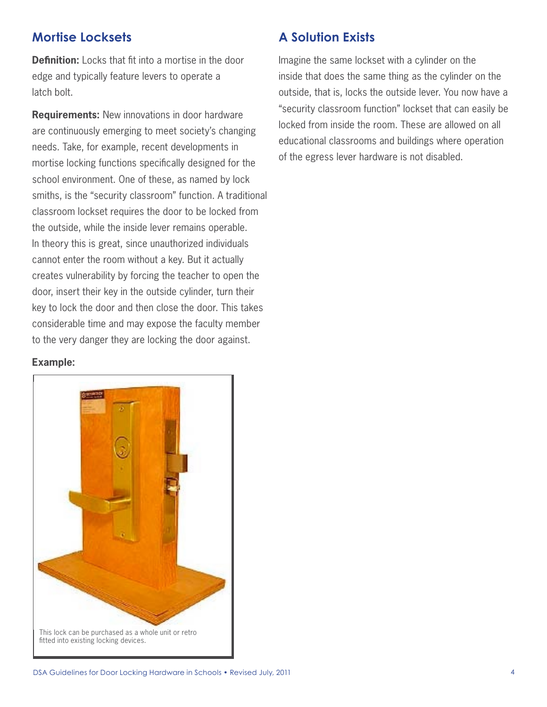## **Mortise Locksets**

**Definition:** Locks that fit into a mortise in the door edge and typically feature levers to operate a latch bolt.

**Requirements:** New innovations in door hardware are continuously emerging to meet society's changing needs. Take, for example, recent developments in mortise locking functions specifically designed for the school environment. One of these, as named by lock smiths, is the "security classroom" function. A traditional classroom lockset requires the door to be locked from the outside, while the inside lever remains operable. In theory this is great, since unauthorized individuals cannot enter the room without a key. But it actually creates vulnerability by forcing the teacher to open the door, insert their key in the outside cylinder, turn their key to lock the door and then close the door. This takes considerable time and may expose the faculty member to the very danger they are locking the door against.

#### **Example:**



## **A Solution Exists**

Imagine the same lockset with a cylinder on the inside that does the same thing as the cylinder on the outside, that is, locks the outside lever. You now have a "security classroom function" lockset that can easily be locked from inside the room. These are allowed on all educational classrooms and buildings where operation of the egress lever hardware is not disabled.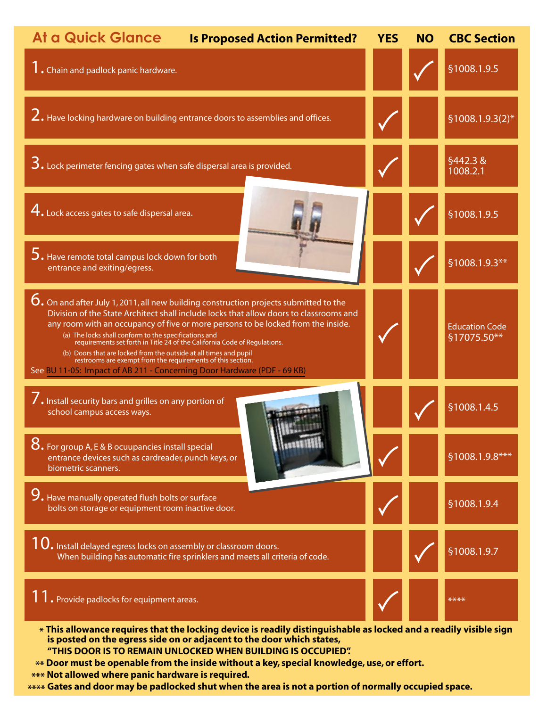

 **\*\*\*\* Gates and door may be padlocked shut when the area is not a portion of normally occupied space.**